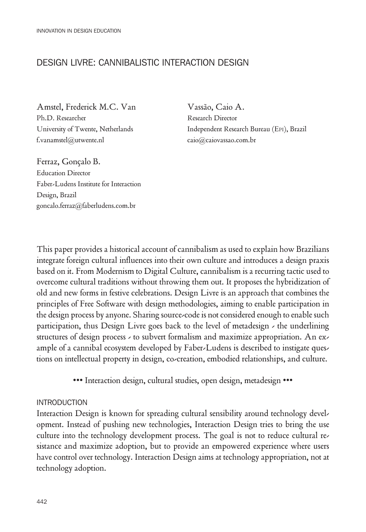# DesIGn LIVRe: CAnnIBALIstIC InteRACtIOn DesIGn

Amstel, Frederick M.C. Van Ph.D. Researcher University of Twente, Netherlands f.vanamstel@utwente.nl

Vassão, Caio A. Research Director Independent Research Bureau (EPI), Brazil caio@caiovassao.com.br

Ferraz, Gonçalo B. Education Director Faber-Ludens Institute for Interaction Design, Brazil goncalo.ferraz@faberludens.com.br

This paper provides a historical account of cannibalism as used to explain how Brazilians integrate foreign cultural influences into their own culture and introduces a design praxis based on it. From Modernism to Digital Culture, cannibalism is a recurring tactic used to overcome cultural traditions without throwing them out. It proposes the hybridization of old and new forms in festive celebrations. Design Livre is an approach that combines the principles of Free Software with design methodologies, aiming to enable participation in the design process by anyone. Sharing source-code is not considered enough to enable such participation, thus Design Livre goes back to the level of metadesign - the underlining structures of design process - to subvert formalism and maximize appropriation. An example of a cannibal ecosystem developed by Faber-Ludens is described to instigate questions on intellectual property in design, co-creation, embodied relationships, and culture.

••• Interaction design, cultural studies, open design, metadesign •••

#### **INTRODUCTION**

Interaction Design is known for spreading cultural sensibility around technology development. Instead of pushing new technologies, Interaction Design tries to bring the use culture into the technology development process. The goal is not to reduce cultural resistance and maximize adoption, but to provide an empowered experience where users have control over technology. Interaction Design aims at technology appropriation, not at technology adoption.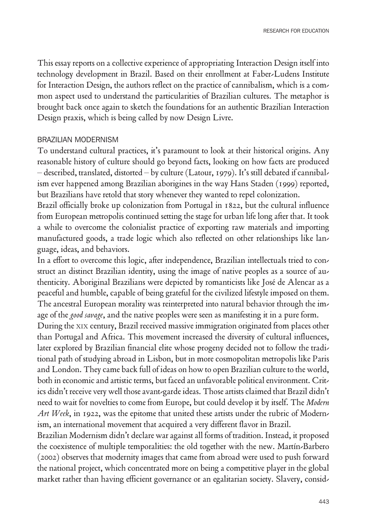This essay reports on a collective experience of appropriating Interaction Design itself into technology development in Brazil. Based on their enrollment at Faber-Ludens Institute for Interaction Design, the authors reflect on the practice of cannibalism, which is a common aspect used to understand the particularities of Brazilian cultures. The metaphor is brought back once again to sketch the foundations for an authentic Brazilian Interaction Design praxis, which is being called by now Design Livre.

#### BRAZILIAn MODeRnIsM

To understand cultural practices, it's paramount to look at their historical origins. Any reasonable history of culture should go beyond facts, looking on how facts are produced – described, translated, distorted – by culture (Latour, 1979). It's still debated if cannibalism ever happened among Brazilian aborigines in the way Hans Staden (1999) reported, but Brazilians have retold that story whenever they wanted to repel colonization.

Brazil officially broke up colonization from Portugal in 1822, but the cultural influence from European metropolis continued setting the stage for urban life long after that. It took a while to overcome the colonialist practice of exporting raw materials and importing manufactured goods, a trade logic which also reflected on other relationships like language, ideas, and behaviors.

In a effort to overcome this logic, after independence, Brazilian intellectuals tried to construct an distinct Brazilian identity, using the image of native peoples as a source of authenticity. Aboriginal Brazilians were depicted by romanticists like José de Alencar as a peaceful and humble, capable of being grateful for the civilized lifestyle imposed on them. The ancestral European morality was reinterpreted into natural behavior through the image of the good savage, and the native peoples were seen as manifesting it in a pure form.

During the xIx century, Brazil received massive immigration originated from places other than Portugal and Africa. This movement increased the diversity of cultural influences, later explored by Brazilian financial elite whose progeny decided not to follow the traditional path of studying abroad in Lisbon, but in more cosmopolitan metropolis like Paris and London. They came back full of ideas on how to open Brazilian culture to the world, both in economic and artistic terms, but faced an unfavorable political environment. Critics didn't receive very well those avant-garde ideas. Those artists claimed that Brazil didn't need to wait for novelties to come from Europe, but could develop it by itself. The Modern Art Week, in 1922, was the epitome that united these artists under the rubric of Modernism, an international movement that acquired a very different flavor in Brazil.

Brazilian Modernism didn't declare war against all forms of tradition. Instead, it proposed the coexistence of multiple temporalities: the old together with the new. Martín-Barbero (2002) observes that modernity images that came from abroad were used to push forward the national project, which concentrated more on being a competitive player in the global market rather than having efficient governance or an egalitarian society. Slavery, consid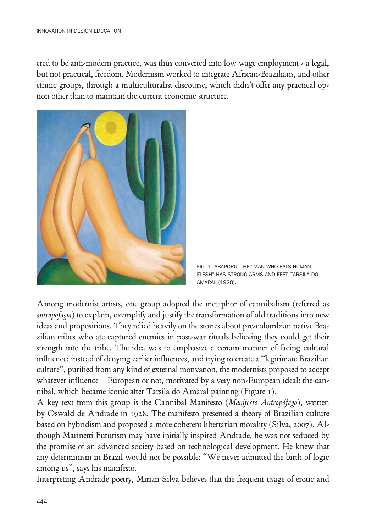ered to be anti-modern practice, was thus converted into low wage employment - a legal, but not practical, freedom. Modernism worked to integrate African-Brazilians, and other ethnic groups, through a multiculturalist discourse, which didn't offer any practical option other than to maintain the current economic structure.



FIG. 1. ABAPORU, tHe "MAn WHO eAts HUMAn FLesH" HAs stROnG ARMs AnD Feet. tARsILA DO AMARAL (1928).

Among modernist artists, one group adopted the metaphor of cannibalism (referred as antropofagia) to explain, exemplify and justify the transformation of old traditions into new ideas and propositions. They relied heavily on the stories about pre-colombian native Brazilian tribes who ate captured enemies in post-war rituals believing they could get their strength into the tribe. The idea was to emphasize a certain manner of facing cultural influence: instead of denying earlier influences, and trying to create a "legitimate Brazilian culture", purified from any kind of external motivation, the modernists proposed to accept whatever influence – European or not, motivated by a very non-European ideal: the cannibal, which became iconic after Tarsila do Amaral painting (Figure 1).

A key text from this group is the Cannibal Manifesto (Manifesto Antropófago), written by Oswald de Andrade in 1928. The manifesto presented a theory of Brazilian culture based on hybridism and proposed a more coherent libertarian morality (Silva, 2007). Although Marinetti Futurism may have initially inspired Andrade, he was not seduced by the promise of an advanced society based on technological development. He knew that any determinism in Brazil would not be possible: "We never admitted the birth of logic among us", says his manifesto.

Interpreting Andrade poetry, Mirian Silva believes that the frequent usage of erotic and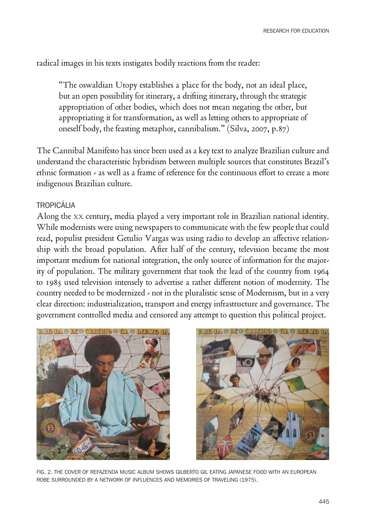radical images in his texts instigates bodily reactions from the reader:

"The oswaldian Utopy establishes a place for the body, not an ideal place, but an open possibility for itinerary, a drifting itinerary, through the strategic appropriation of other bodies, which does not mean negating the other, but appropriating it for transformation, as well as letting others to appropriate of oneself body, the feasting metaphor, cannibalism." (Silva, 2007, p.87)

The Cannibal Manifesto has since been used as a key text to analyze Brazilian culture and understand the characteristic hybridism between multiple sources that constitutes Brazil's ethnic formation - as well as a frame of reference for the continuous effort to create a more indigenous Brazilian culture.

### tROPICÁLIA

Along the xx century, media played a very important role in Brazilian national identity. While modernists were using newspapers to communicate with the few people that could read, populist president Getulio Vargas was using radio to develop an affective relationship with the broad population. After half of the century, television became the most important medium for national integration, the only source of information for the majority of population. The military government that took the lead of the country from 1964 to 1985 used television intensely to advertise a rather different notion of modernity. The country needed to be modernized - not in the pluralistic sense of Modernism, but in a very clear direction: industrialization, transport and energy infrastructure and governance. The government controlled media and censored any attempt to question this political project.





FIG. 2. tHe COVeR OF ReFAZenDA MUsIC ALBUM sHOWs GILBeRtO GIL eAtInG JAPAnese FOOD WItH An eUROPeAn ROBe sURROUnDeD BY A netWORK OF InFLUenCes AnD MeMORIes OF tRAVeLInG (1975).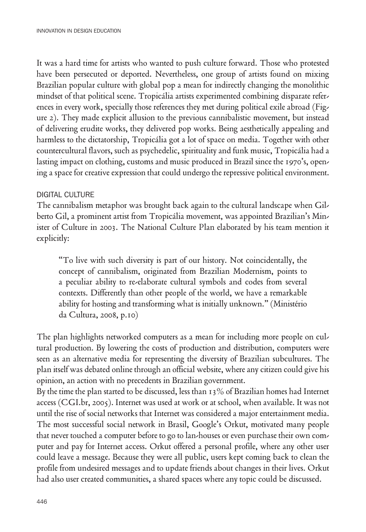It was a hard time for artists who wanted to push culture forward. Those who protested have been persecuted or deported. Nevertheless, one group of artists found on mixing Brazilian popular culture with global pop a mean for indirectly changing the monolithic mindset of that political scene. Tropicália artists experimented combining disparate references in every work, specially those references they met during political exile abroad (Figure 2). They made explicit allusion to the previous cannibalistic movement, but instead of delivering erudite works, they delivered pop works. Being aesthetically appealing and harmless to the dictatorship, Tropicália got a lot of space on media. Together with other countercultural flavors, such as psychedelic, spirituality and funk music, Tropicália had a lasting impact on clothing, customs and music produced in Brazil since the 1970's, opening a space for creative expression that could undergo the repressive political environment.

### DIGITAL CULTURE

The cannibalism metaphor was brought back again to the cultural landscape when Gilberto Gil, a prominent artist from Tropicália movement, was appointed Brazilian's Minister of Culture in 2003. The National Culture Plan elaborated by his team mention it explicitly:

"To live with such diversity is part of our history. Not coincidentally, the concept of cannibalism, originated from Brazilian Modernism, points to a peculiar ability to re-elaborate cultural symbols and codes from several contexts. Differently than other people of the world, we have a remarkable ability for hosting and transforming what is initially unknown." (Ministério da Cultura, 2008, p.10)

The plan highlights networked computers as a mean for including more people on cultural production. By lowering the costs of production and distribution, computers were seen as an alternative media for representing the diversity of Brazilian subcultures. The plan itself was debated online through an official website, where any citizen could give his opinion, an action with no precedents in Brazilian government.

By the time the plan started to be discussed, less than 13% of Brazilian homes had Internet access (CGI.br, 2005). Internet was used at work or at school, when available. It was not until the rise of social networks that Internet was considered a major entertainment media. The most successful social network in Brasil, Google's Orkut, motivated many people that never touched a computer before to go to lan-houses or even purchase their own computer and pay for Internet access. Orkut offered a personal profile, where any other user could leave a message. Because they were all public, users kept coming back to clean the profile from undesired messages and to update friends about changes in their lives. Orkut had also user created communities, a shared spaces where any topic could be discussed.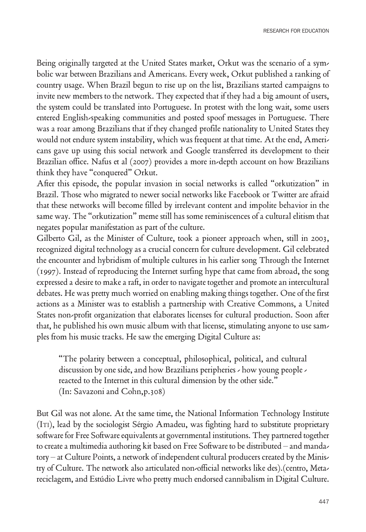Being originally targeted at the United States market, Orkut was the scenario of a symbolic war between Brazilians and Americans. Every week, Orkut published a ranking of country usage. When Brazil begun to rise up on the list, Brazilians started campaigns to invite new members to the network. They expected that if they had a big amount of users, the system could be translated into Portuguese. In protest with the long wait, some users entered English-speaking communities and posted spoof messages in Portuguese. There was a roar among Brazilians that if they changed profile nationality to United States they would not endure system instability, which was frequent at that time. At the end, Americans gave up using this social network and Google transferred its development to their Brazilian office. Nafus et al (2007) provides a more in-depth account on how Brazilians think they have "conquered" Orkut.

After this episode, the popular invasion in social networks is called "orkutization" in Brazil. Those who migrated to newer social networks like Facebook or Twitter are afraid that these networks will become filled by irrelevant content and impolite behavior in the same way. The "orkutization" meme still has some reminiscences of a cultural elitism that negates popular manifestation as part of the culture.

Gilberto Gil, as the Minister of Culture, took a pioneer approach when, still in 2003, recognized digital technology as a crucial concern for culture development. Gil celebrated the encounter and hybridism of multiple cultures in his earlier song Through the Internet (1997). Instead of reproducing the Internet surfing hype that came from abroad, the song expressed a desire to make a raft, in order to navigate together and promote an intercultural debates. He was pretty much worried on enabling making things together. One of the first actions as a Minister was to establish a partnership with Creative Commons, a United States non-profit organization that elaborates licenses for cultural production. Soon after that, he published his own music album with that license, stimulating anyone to use samples from his music tracks. He saw the emerging Digital Culture as:

"The polarity between a conceptual, philosophical, political, and cultural discussion by one side, and how Brazilians peripheries - how young people reacted to the Internet in this cultural dimension by the other side." (In: Savazoni and Cohn,p.308)

But Gil was not alone. At the same time, the National Information Technology Institute (ITI), lead by the sociologist Sérgio Amadeu, was fighting hard to substitute proprietary software for Free Software equivalents at governmental institutions. They partnered together to create a multimedia authoring kit based on Free Software to be distributed – and mandatory – at Culture Points, a network of independent cultural producers created by the Ministry of Culture. The network also articulated non-official networks like des).(centro, Metareciclagem, and Estúdio Livre who pretty much endorsed cannibalism in Digital Culture.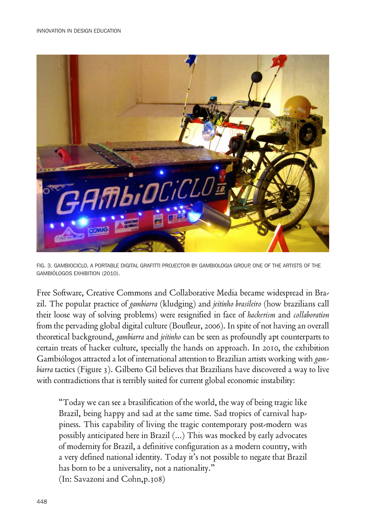

FIG. 3. GAMBIOCICLO, A PORtABLe DIGItAL GRAFIttI PROJeCtOR BY GAMBIOLOGIA GROUP, One OF tHe ARtIsts OF tHe GAMBIóLOGOs eXHIBItIOn (2010).

Free Software, Creative Commons and Collaborative Media became widespread in Brazil. The popular practice of gambiarra (kludging) and jeitinho brasileiro (how brazilians call their loose way of solving problems) were resignified in face of hackerism and collaboration from the pervading global digital culture (Boufleur, 2006). In spite of not having an overall theoretical background, gambiarra and jeitinho can be seen as profoundly apt counterparts to certain treats of hacker culture, specially the hands on approach. In 2010, the exhibition Gambiólogos attracted a lot of international attention to Brazilian artists working with gambiarra tactics (Figure 3). Gilberto Gil believes that Brazilians have discovered a way to live with contradictions that is terribly suited for current global economic instability:

"Today we can see a brasilification of the world, the way of being tragic like Brazil, being happy and sad at the same time. Sad tropics of carnival happiness. This capability of living the tragic contemporary post-modern was possibly anticipated here in Brazil (...) This was mocked by early advocates of modernity for Brazil, a definitive configuration as a modern country, with a very defined national identity. Today it's not possible to negate that Brazil has born to be a universality, not a nationality." (In: Savazoni and Cohn,p.308)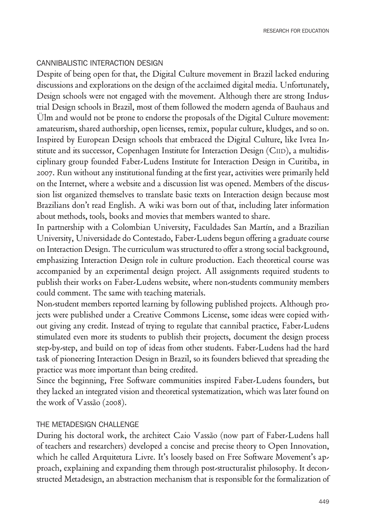### CANNIBALISTIC INTERACTION DESIGN

Despite of being open for that, the Digital Culture movement in Brazil lacked enduring discussions and explorations on the design of the acclaimed digital media. Unfortunately, Design schools were not engaged with the movement. Although there are strong Industrial Design schools in Brazil, most of them followed the modern agenda of Bauhaus and Ülm and would not be prone to endorse the proposals of the Digital Culture movement: amateurism, shared authorship, open licenses, remix, popular culture, kludges, and so on. Inspired by European Design schools that embraced the Digital Culture, like Ivrea Institute and its successor, Copenhagen Institute for Interaction Design (CIID), a multidisciplinary group founded Faber-Ludens Institute for Interaction Design in Curitiba, in 2007. Run without any institutional funding at the first year, activities were primarily held on the Internet, where a website and a discussion list was opened. Members of the discussion list organized themselves to translate basic texts on Interaction design because most Brazilians don't read English. A wiki was born out of that, including later information about methods, tools, books and movies that members wanted to share.

In partnership with a Colombian University, Faculdades San Martín, and a Brazilian University, Universidade do Contestado, Faber-Ludens begun offering a graduate course on Interaction Design. The curriculum was structured to offer a strong social background, emphasizing Interaction Design role in culture production. Each theoretical course was accompanied by an experimental design project. All assignments required students to publish their works on Faber-Ludens website, where non-students community members could comment. The same with teaching materials.

Non-student members reported learning by following published projects. Although projects were published under a Creative Commons License, some ideas were copied without giving any credit. Instead of trying to regulate that cannibal practice, Faber-Ludens stimulated even more its students to publish their projects, document the design process step-by-step, and build on top of ideas from other students. Faber-Ludens had the hard task of pioneering Interaction Design in Brazil, so its founders believed that spreading the practice was more important than being credited.

Since the beginning, Free Software communities inspired Faber-Ludens founders, but they lacked an integrated vision and theoretical systematization, which was later found on the work of Vassão (2008).

### THE METADESIGN CHALLENGE

During his doctoral work, the architect Caio Vassão (now part of Faber-Ludens hall of teachers and researchers) developed a concise and precise theory to Open Innovation, which he called Arquitetura Livre. It's loosely based on Free Software Movement's approach, explaining and expanding them through post-structuralist philosophy. It deconstructed Metadesign, an abstraction mechanism that is responsible for the formalization of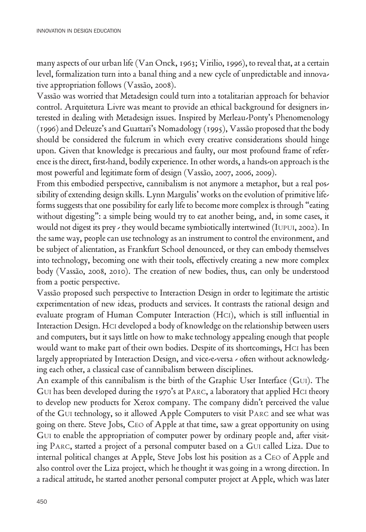many aspects of our urban life (Van Onck, 1963; Virilio, 1996), to reveal that, at a certain level, formalization turn into a banal thing and a new cycle of unpredictable and innovative appropriation follows (Vassão, 2008).

Vassão was worried that Metadesign could turn into a totalitarian approach for behavior control. Arquitetura Livre was meant to provide an ethical background for designers interested in dealing with Metadesign issues. Inspired by Merleau-Ponty's Phenomenology (1996) and Deleuze's and Guattari's Nomadology (1995), Vassão proposed that the body should be considered the fulcrum in which every creative considerations should hinge upon. Given that knowledge is precarious and faulty, our most profound frame of reference is the direct, first-hand, bodily experience. In other words, a hands-on approach is the most powerful and legitimate form of design (Vassão, 2007, 2006, 2009).

From this embodied perspective, cannibalism is not anymore a metaphor, but a real possibility of extending design skills. Lynn Margulis' works on the evolution of primitive lifeforms suggests that one possibility for early life to become more complex is through "eating without digesting": a simple being would try to eat another being, and, in some cases, it would not digest its prey - they would became symbiotically intertwined (IUpUI, 2002). In the same way, people can use technology as an instrument to control the environment, and be subject of alientation, as Frankfurt School denounced, or they can embody themselves into technology, becoming one with their tools, effectively creating a new more complex body (Vassão, 2008, 2010). The creation of new bodies, thus, can only be understood from a poetic perspective.

Vassão proposed such perspective to Interaction Design in order to legitimate the artistic experimentation of new ideas, products and services. It contrasts the rational design and evaluate program of Human Computer Interaction (HCI), which is still influential in Interaction Design. hcI developed a body of knowledge on the relationship between users and computers, but it says little on how to make technology appealing enough that people would want to make part of their own bodies. Despite of its shortcomings, HCI has been largely appropriated by Interaction Design, and vice-e-versa - often without acknowledging each other, a classical case of cannibalism between disciplines.

An example of this cannibalism is the birth of the Graphic User Interface (GUI). The GUI has been developed during the 1970's at PARC, a laboratory that applied HCI theory to develop new products for Xerox company. The company didn't perceived the value of the gUI technology, so it allowed Apple Computers to visit parc and see what was going on there. Steve Jobs, CEO of Apple at that time, saw a great opportunity on using GUI to enable the appropriation of computer power by ordinary people and, after visiting PARC, started a project of a personal computer based on a GUI called Liza. Due to internal political changes at Apple, Steve Jobs lost his position as a CEO of Apple and also control over the Liza project, which he thought it was going in a wrong direction. In a radical attitude, he started another personal computer project at Apple, which was later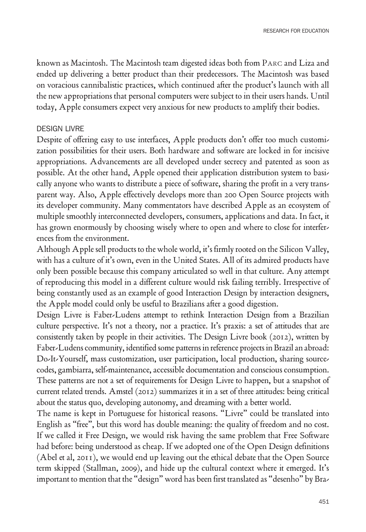known as Macintosh. The Macintosh team digested ideas both from parc and Liza and ended up delivering a better product than their predecessors. The Macintosh was based on voracious cannibalistic practices, which continued after the product's launch with all the new appropriations that personal computers were subject to in their users hands. Until today, Apple consumers expect very anxious for new products to amplify their bodies.

#### DesIGn LIVRe

Despite of offering easy to use interfaces, Apple products don't offer too much customization possibilities for their users. Both hardware and software are locked in for incisive appropriations. Advancements are all developed under secrecy and patented as soon as possible. At the other hand, Apple opened their application distribution system to basically anyone who wants to distribute a piece of software, sharing the profit in a very transparent way. Also, Apple effectively develops more than 200 Open Source projects with its developer community. Many commentators have described Apple as an ecosystem of multiple smoothly interconnected developers, consumers, applications and data. In fact, it has grown enormously by choosing wisely where to open and where to close for interferences from the environment.

Although Apple sell products to the whole world, it's firmly rooted on the Silicon Valley, with has a culture of it's own, even in the United States. All of its admired products have only been possible because this company articulated so well in that culture. Any attempt of reproducing this model in a different culture would risk failing terribly. Irrespective of being constantly used as an example of good Interaction Design by interaction designers, the Apple model could only be useful to Brazilians after a good digestion.

Design Livre is Faber-Ludens attempt to rethink Interaction Design from a Brazilian culture perspective. It's not a theory, nor a practice. It's praxis: a set of attitudes that are consistently taken by people in their activities. The Design Livre book (2012), written by Faber-Ludens community, identified some patterns in reference projects in Brazil an abroad: Do-It-Yourself, mass customization, user participation, local production, sharing sourcecodes, gambiarra, self-maintenance, accessible documentation and conscious consumption. These patterns are not a set of requirements for Design Livre to happen, but a snapshot of current related trends. Amstel (2012) summarizes it in a set of three attitudes: being critical about the status quo, developing autonomy, and dreaming with a better world.

The name is kept in Portuguese for historical reasons. "Livre" could be translated into English as "free", but this word has double meaning: the quality of freedom and no cost. If we called it Free Design, we would risk having the same problem that Free Software had before: being understood as cheap. If we adopted one of the Open Design definitions (Abel et al, 2011), we would end up leaving out the ethical debate that the Open Source term skipped (Stallman, 2009), and hide up the cultural context where it emerged. It's important to mention that the "design" word has been first translated as "desenho" by Bra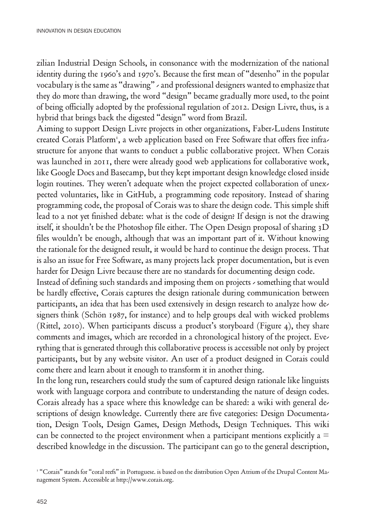zilian Industrial Design Schools, in consonance with the modernization of the national identity during the 1960's and 1970's. Because the first mean of "desenho" in the popular vocabulary is the same as "drawing" - and professional designers wanted to emphasize that they do more than drawing, the word "design" became gradually more used, to the point of being officially adopted by the professional regulation of 2012. Design Livre, thus, is a hybrid that brings back the digested "design" word from Brazil.

Aiming to support Design Livre projects in other organizations, Faber-Ludens Institute created Corais Platform<sup>1</sup>, a web application based on Free Software that offers free infrastructure for anyone that wants to conduct a public collaborative project. When Corais was launched in 2011, there were already good web applications for collaborative work, like Google Docs and Basecamp, but they kept important design knowledge closed inside login routines. They weren't adequate when the project expected collaboration of unexpected voluntaries, like in GitHub, a programming code repository. Instead of sharing programming code, the proposal of Corais was to share the design code. This simple shift lead to a not yet finished debate: what is the code of design? If design is not the drawing itself, it shouldn't be the Photoshop file either. The Open Design proposal of sharing 3D files wouldn't be enough, although that was an important part of it. Without knowing the rationale for the designed result, it would be hard to continue the design process. That is also an issue for Free Software, as many projects lack proper documentation, but is even harder for Design Livre because there are no standards for documenting design code.

Instead of defining such standards and imposing them on projects - something that would be hardly effective, Corais captures the design rationale during communication between participants, an idea that has been used extensively in design research to analyze how designers think (Schön 1987, for instance) and to help groups deal with wicked problems (Rittel, 2010). When participants discuss a product's storyboard (Figure 4), they share comments and images, which are recorded in a chronological history of the project. Everything that is generated through this collaborative process is accessible not only by project participants, but by any website visitor. An user of a product designed in Corais could come there and learn about it enough to transform it in another thing.

In the long run, researchers could study the sum of captured design rationale like linguists work with language corpora and contribute to understanding the nature of design codes. Corais already has a space where this knowledge can be shared: a wiki with general descriptions of design knowledge. Currently there are five categories: Design Documentation, Design Tools, Design Games, Design Methods, Design Techniques. This wiki can be connected to the project environment when a participant mentions explicitly a  $=$ described knowledge in the discussion. The participant can go to the general description,

<sup>1</sup> "Corais" stands for "coral reefs" in Portuguese. is based on the distribution Open Atrium of the Drupal Content Management System. Accessible at http://www.corais.org.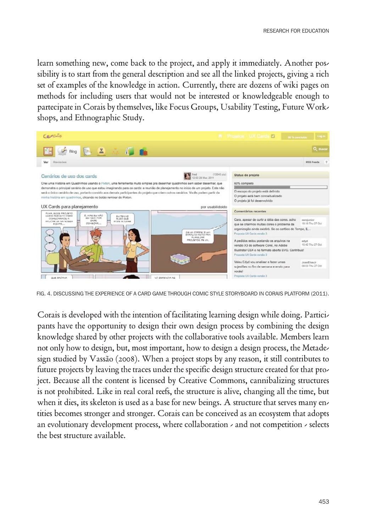learn something new, come back to the project, and apply it immediately. Another possibility is to start from the general description and see all the linked projects, giving a rich set of examples of the knowledge in action. Currently, there are dozens of wiki pages on methods for including users that would not be interested or knowledgeable enough to partecipate in Corais by themselves, like Focus Groups, Usability Testing, Future Workshops, and Ethnographic Study.



FIG. 4. DISCUSSING THE EXPERIENCE OF A CARD GAME THROUGH COMIC STYLE STORYBOARD IN CORAIS PLATFORM (2011).

Corais is developed with the intention of facilitating learning design while doing. Participants have the opportunity to design their own design process by combining the design knowledge shared by other projects with the collaborative tools available. Members learn not only how to design, but, most important, how to design a design process, the Metadesign studied by Vassão (2008). When a project stops by any reason, it still contributes to future projects by leaving the traces under the specific design structure created for that project. Because all the content is licensed by Creative Commons, cannibalizing structures is not prohibited. Like in real coral reefs, the structure is alive, changing all the time, but when it dies, its skeleton is used as a base for new beings. A structure that serves many entities becomes stronger and stronger. Corais can be conceived as an ecosystem that adopts an evolutionary development process, where collaboration  $\lambda$  and not competition  $\lambda$  selects the best structure available.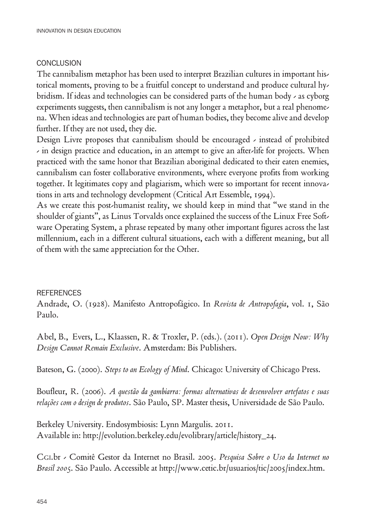## **CONCLUSION**

The cannibalism metaphor has been used to interpret Brazilian cultures in important historical moments, proving to be a fruitful concept to understand and produce cultural hybridism. If ideas and technologies can be considered parts of the human body - as cyborg experiments suggests, then cannibalism is not any longer a metaphor, but a real phenomena. When ideas and technologies are part of human bodies, they become alive and develop further. If they are not used, they die.

Design Livre proposes that cannibalism should be encouraged - instead of prohibited - in design practice and education, in an attempt to give an after-life for projects. When practiced with the same honor that Brazilian aboriginal dedicated to their eaten enemies, cannibalism can foster collaborative environments, where everyone profits from working together. It legitimates copy and plagiarism, which were so important for recent innovations in arts and technology development (Critical Art Essemble, 1994).

As we create this post-humanist reality, we should keep in mind that "we stand in the shoulder of giants", as Linus Torvalds once explained the success of the Linux Free Software Operating System, a phrase repeated by many other important figures across the last millennium, each in a different cultural situations, each with a different meaning, but all of them with the same appreciation for the Other.

# **REFERENCES**

Andrade, O. (1928). Manifesto Antropofágico. In Revista de Antropofagia, vol. 1, São Paulo.

Abel, B., Evers, L., Klaassen, R. & Troxler, P. (eds.). (2011). Open Design Now: Why Design Cannot Remain Exclusive. Amsterdam: Bis Publishers.

Bateson, G. (2000). Steps to an Ecology of Mind. Chicago: University of Chicago Press.

Boufleur, R. (2006). A questão da gambiarra: formas alternativas de desenvolver artefatos e suas relações com o design de produtos. São Paulo, SP. Master thesis, Universidade de São Paulo.

Berkeley University. Endosymbiosis: Lynn Margulis. 2011. Available in: http://evolution.berkeley.edu/evolibrary/article/history\_24.

CGI.br - Comitê Gestor da Internet no Brasil. 2005. Pesquisa Sobre o Uso da Internet no Brasil 2005. São Paulo. Accessible at http://www.cetic.br/usuarios/tic/2005/index.htm.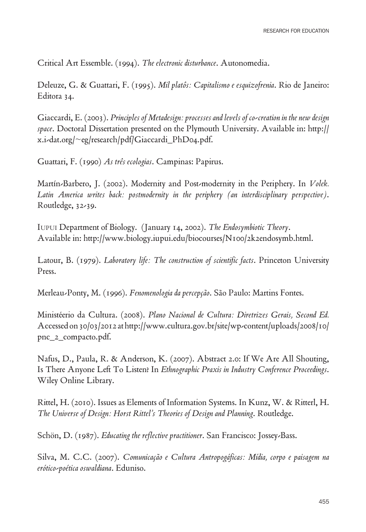Critical Art Essemble. (1994). The electronic disturbance. Autonomedia.

Deleuze, G. & Guattari, F. (1995). Mil platôs: Capitalismo e esquizofrenia. Rio de Janeiro: Editora 34.

Giaccardi, E. (2003). Principles of Metadesign: processes and levels of co-creation in the new design space. Doctoral Dissertation presented on the Plymouth University. Available in: http:// x.i-dat.org/~eg/research/pdf/Giaccardi\_PhD04.pdf.

Guattari, F. (1990) As três ecologias. Campinas: Papirus.

Martín-Barbero, J. (2002). Modernity and Post-modernity in the Periphery. In Volek. Latin America writes back: postmodernity in the periphery (an interdisciplinary perspective). Routledge, 32-39.

IUpUI Department of Biology. (January 14, 2002). The Endosymbiotic Theory. Available in: http://www.biology.iupui.edu/biocourses/N100/2k2endosymb.html.

Latour, B. (1979). Laboratory life: The construction of scientific facts. Princeton University Press.

Merleau-Ponty, M. (1996). Fenomenologia da percepção. São Paulo: Martins Fontes.

Ministéerio da Cultura. (2008). Plano Nacional de Cultura: Diretrizes Gerais, Second Ed. Accessed on 30/03/2012 at http://www.cultura.gov.br/site/wp-content/uploads/2008/10/ pnc\_2\_compacto.pdf.

Nafus, D., Paula, R. & Anderson, K. (2007). Abstract 2.0: If We Are All Shouting, Is There Anyone Left To Listen? In Ethnographic Praxis in Industry Conference Proceedings. Wiley Online Library.

Rittel, H. (2010). Issues as Elements of Information Systems. In Kunz, W. & Ritterl, H. The Universe of Design: Horst Rittel's Theories of Design and Planning. Routledge.

Schön, D. (1987). Educating the reflective practitioner. San Francisco: Jossey-Bass.

Silva, M. C.C. (2007). Comunicação e Cultura Antropogáficas: Mídia, corpo e paisagem na erótico-poética oswaldiana. Eduniso.